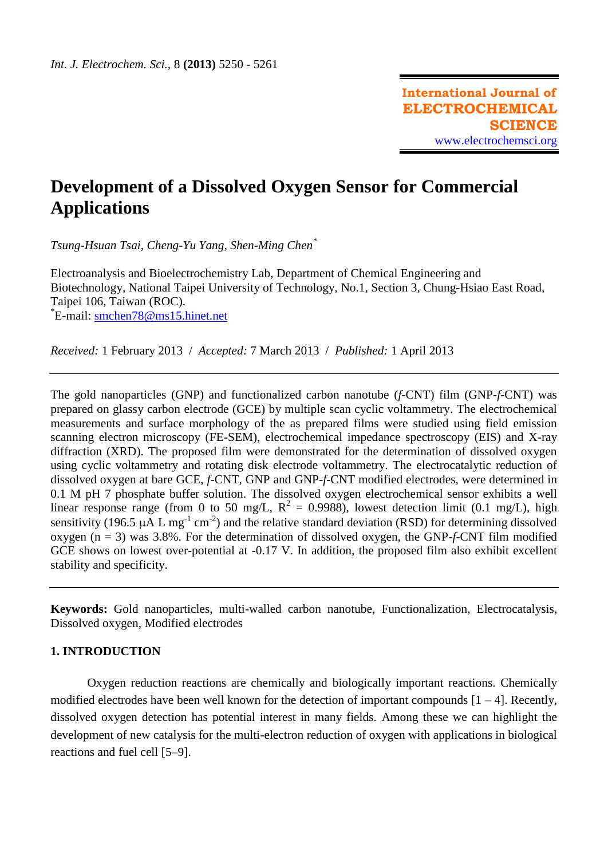# **Development of a Dissolved Oxygen Sensor for Commercial Applications**

*Tsung-Hsuan Tsai, Cheng-Yu Yang, Shen-Ming Chen\**

Electroanalysis and Bioelectrochemistry Lab, Department of Chemical Engineering and Biotechnology, National Taipei University of Technology, No.1, Section 3, Chung-Hsiao East Road, Taipei 106, Taiwan (ROC). \* E-mail: [smchen78@ms15.hinet.net](mailto:smchen78@ms15.hinet.net)

*Received:* 1 February 2013/ *Accepted:* 7 March 2013 / *Published:* 1 April 2013

The gold nanoparticles (GNP) and functionalized carbon nanotube (*f*-CNT) film (GNP-*f*-CNT) was prepared on glassy carbon electrode (GCE) by multiple scan cyclic voltammetry. The electrochemical measurements and surface morphology of the as prepared films were studied using field emission scanning electron microscopy (FE-SEM), electrochemical impedance spectroscopy (EIS) and X-ray diffraction (XRD). The proposed film were demonstrated for the determination of dissolved oxygen using cyclic voltammetry and rotating disk electrode voltammetry. The electrocatalytic reduction of dissolved oxygen at bare GCE, *f*-CNT, GNP and GNP-*f*-CNT modified electrodes, were determined in 0.1 M pH 7 phosphate buffer solution. The dissolved oxygen electrochemical sensor exhibits a well linear response range (from 0 to 50 mg/L,  $R^2 = 0.9988$ ), lowest detection limit (0.1 mg/L), high sensitivity (196.5 µA L mg<sup>-1</sup> cm<sup>-2</sup>) and the relative standard deviation (RSD) for determining dissolved oxygen (n = 3) was 3.8%. For the determination of dissolved oxygen, the GNP-*f*-CNT film modified GCE shows on lowest over-potential at -0.17 V. In addition, the proposed film also exhibit excellent stability and specificity.

**Keywords:** Gold nanoparticles, multi-walled carbon nanotube, Functionalization, Electrocatalysis, Dissolved oxygen, Modified electrodes

# **1. INTRODUCTION**

Oxygen reduction reactions are chemically and biologically important reactions. Chemically modified electrodes have been well known for the detection of important compounds  $[1 - 4]$ . Recently, dissolved oxygen detection has potential interest in many fields. Among these we can highlight the development of new catalysis for the multi-electron reduction of oxygen with applications in biological reactions and fuel cell [5–9].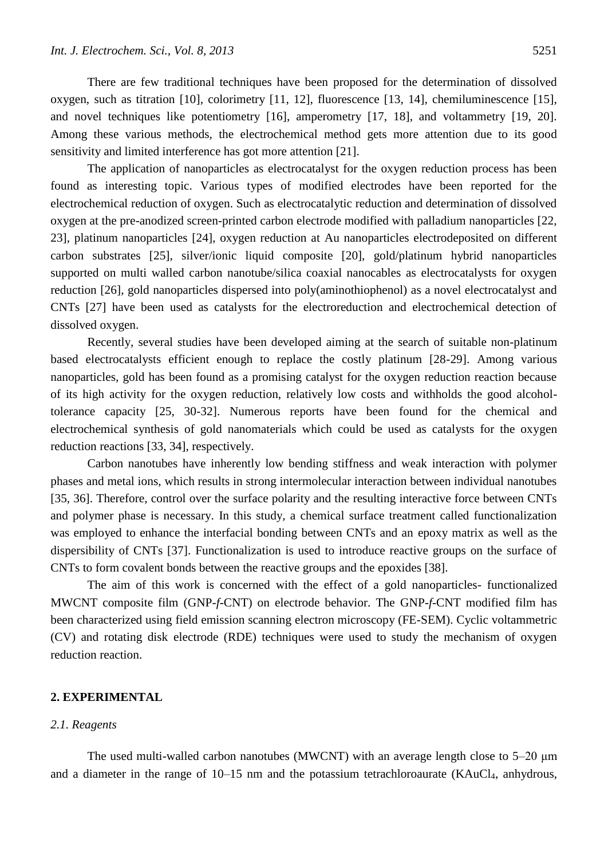There are few traditional techniques have been proposed for the determination of dissolved oxygen, such as titration [10], colorimetry [11, 12], fluorescence [13, 14], chemiluminescence [15], and novel techniques like potentiometry [16], amperometry [17, 18], and voltammetry [19, 20]. Among these various methods, the electrochemical method gets more attention due to its good sensitivity and limited interference has got more attention [21].

The application of nanoparticles as electrocatalyst for the oxygen reduction process has been found as interesting topic. Various types of modified electrodes have been reported for the electrochemical reduction of oxygen. Such as electrocatalytic reduction and determination of dissolved oxygen at the pre-anodized screen-printed carbon electrode modified with palladium nanoparticles [22, 23], platinum nanoparticles [24], oxygen reduction at Au nanoparticles electrodeposited on different carbon substrates [25], silver/ionic liquid composite [20], gold/platinum hybrid nanoparticles supported on multi walled carbon nanotube/silica coaxial nanocables as electrocatalysts for oxygen reduction [26], gold nanoparticles dispersed into poly(aminothiophenol) as a novel electrocatalyst and CNTs [27] have been used as catalysts for the electroreduction and electrochemical detection of dissolved oxygen.

Recently, several studies have been developed aiming at the search of suitable non-platinum based electrocatalysts efficient enough to replace the costly platinum [28-29]. Among various nanoparticles, gold has been found as a promising catalyst for the oxygen reduction reaction because of its high activity for the oxygen reduction, relatively low costs and withholds the good alcoholtolerance capacity [25, 30-32]. Numerous reports have been found for the chemical and electrochemical synthesis of gold nanomaterials which could be used as catalysts for the oxygen reduction reactions [33, 34], respectively.

Carbon nanotubes have inherently low bending stiffness and weak interaction with polymer phases and metal ions, which results in strong intermolecular interaction between individual nanotubes [35, 36]. Therefore, control over the surface polarity and the resulting interactive force between CNTs and polymer phase is necessary. In this study, a chemical surface treatment called functionalization was employed to enhance the interfacial bonding between CNTs and an epoxy matrix as well as the dispersibility of CNTs [37]. Functionalization is used to introduce reactive groups on the surface of CNTs to form covalent bonds between the reactive groups and the epoxides [38].

The aim of this work is concerned with the effect of a gold nanoparticles- functionalized MWCNT composite film (GNP-*f*-CNT) on electrode behavior. The GNP-*f*-CNT modified film has been characterized using field emission scanning electron microscopy (FE-SEM). Cyclic voltammetric (CV) and rotating disk electrode (RDE) techniques were used to study the mechanism of oxygen reduction reaction.

# **2. EXPERIMENTAL**

## *2.1. Reagents*

The used multi-walled carbon nanotubes (MWCNT) with an average length close to 5–20 μm and a diameter in the range of  $10-15$  nm and the potassium tetrachloroaurate (KAuCl<sub>4</sub>, anhydrous,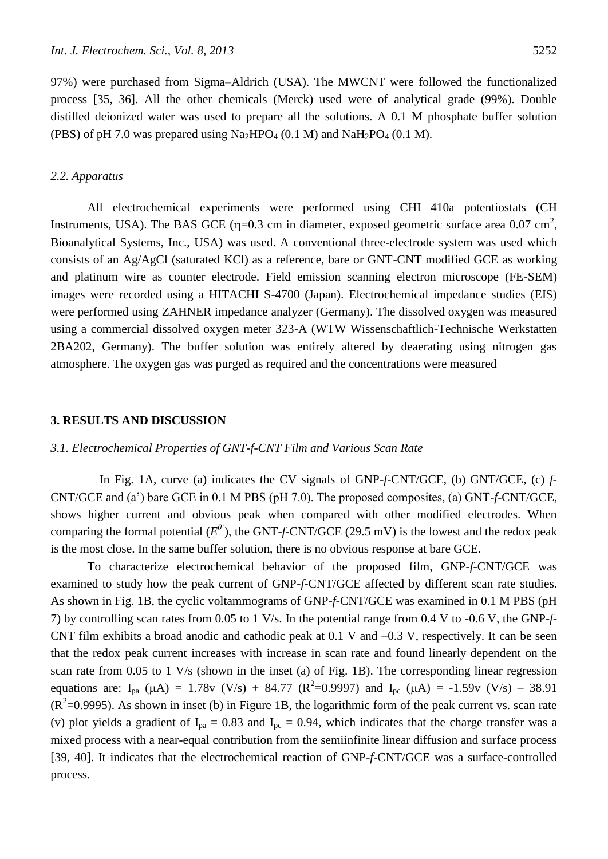97%) were purchased from Sigma–Aldrich (USA). The MWCNT were followed the functionalized process [35, 36]. All the other chemicals (Merck) used were of analytical grade (99%). Double distilled deionized water was used to prepare all the solutions. A 0.1 M phosphate buffer solution (PBS) of pH 7.0 was prepared using  $Na<sub>2</sub>HPO<sub>4</sub> (0.1 M)$  and  $NaH<sub>2</sub>PO<sub>4</sub> (0.1 M)$ .

## *2.2. Apparatus*

All electrochemical experiments were performed using CHI 410a potentiostats (CH Instruments, USA). The BAS GCE ( $\eta$ =0.3 cm in diameter, exposed geometric surface area 0.07 cm<sup>2</sup>, Bioanalytical Systems, Inc., USA) was used. A conventional three-electrode system was used which consists of an Ag/AgCl (saturated KCl) as a reference, bare or GNT-CNT modified GCE as working and platinum wire as counter electrode. Field emission scanning electron microscope (FE-SEM) images were recorded using a HITACHI S-4700 (Japan). Electrochemical impedance studies (EIS) were performed using ZAHNER impedance analyzer (Germany). The dissolved oxygen was measured using a commercial dissolved oxygen meter 323-A (WTW Wissenschaftlich-Technische Werkstatten 2BA202, Germany). The buffer solution was entirely altered by deaerating using nitrogen gas atmosphere. The oxygen gas was purged as required and the concentrations were measured

## **3. RESULTS AND DISCUSSION**

## *3.1. Electrochemical Properties of GNT-f-CNT Film and Various Scan Rate*

 In Fig. 1A, curve (a) indicates the CV signals of GNP-*f*-CNT/GCE, (b) GNT/GCE, (c) *f*-CNT/GCE and (a') bare GCE in 0.1 M PBS (pH 7.0). The proposed composites, (a) GNT-*f*-CNT/GCE, shows higher current and obvious peak when compared with other modified electrodes. When comparing the formal potential  $(E^0)$ , the GNT-*f*-CNT/GCE (29.5 mV) is the lowest and the redox peak is the most close. In the same buffer solution, there is no obvious response at bare GCE.

To characterize electrochemical behavior of the proposed film, GNP-*f*-CNT/GCE was examined to study how the peak current of GNP-*f*-CNT/GCE affected by different scan rate studies. As shown in Fig. 1B, the cyclic voltammograms of GNP-*f*-CNT/GCE was examined in 0.1 M PBS (pH 7) by controlling scan rates from 0.05 to 1 V/s. In the potential range from 0.4 V to -0.6 V, the GNP-*f*-CNT film exhibits a broad anodic and cathodic peak at 0.1 V and –0.3 V, respectively. It can be seen that the redox peak current increases with increase in scan rate and found linearly dependent on the scan rate from 0.05 to 1 V/s (shown in the inset (a) of Fig. 1B). The corresponding linear regression equations are:  $I_{pa} (\mu A) = 1.78v (V/s) + 84.77 (R^2=0.9997)$  and  $I_{pc} (\mu A) = -1.59v (V/s) - 38.91$  $(R^2=0.9995)$ . As shown in inset (b) in Figure 1B, the logarithmic form of the peak current vs. scan rate (v) plot yields a gradient of  $I_{pa} = 0.83$  and  $I_{pc} = 0.94$ , which indicates that the charge transfer was a mixed process with a near-equal contribution from the semiinfinite linear diffusion and surface process [39, 40]. It indicates that the electrochemical reaction of GNP-*f*-CNT/GCE was a surface-controlled process.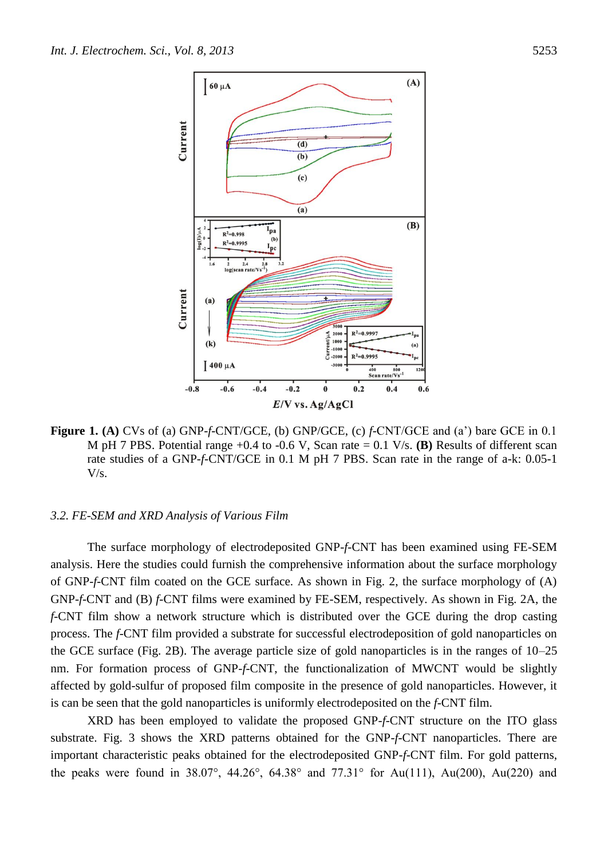

**Figure 1. (A)** CVs of (a) GNP-*f*-CNT/GCE, (b) GNP/GCE, (c) *f*-CNT/GCE and (a') bare GCE in 0.1 M pH 7 PBS. Potential range +0.4 to -0.6 V, Scan rate = 0.1 V/s. **(B)** Results of different scan rate studies of a GNP-*f*-CNT/GCE in 0.1 M pH 7 PBS. Scan rate in the range of a-k: 0.05-1 V/s.

#### *3.2. FE-SEM and XRD Analysis of Various Film*

The surface morphology of electrodeposited GNP-*f*-CNT has been examined using FE-SEM analysis. Here the studies could furnish the comprehensive information about the surface morphology of GNP-*f*-CNT film coated on the GCE surface. As shown in Fig. 2, the surface morphology of (A) GNP-*f*-CNT and (B) *f*-CNT films were examined by FE-SEM, respectively. As shown in Fig. 2A, the *f*-CNT film show a network structure which is distributed over the GCE during the drop casting process. The *f*-CNT film provided a substrate for successful electrodeposition of gold nanoparticles on the GCE surface (Fig. 2B). The average particle size of gold nanoparticles is in the ranges of 10–25 nm. For formation process of GNP-*f*-CNT, the functionalization of MWCNT would be slightly affected by gold-sulfur of proposed film composite in the presence of gold nanoparticles. However, it is can be seen that the gold nanoparticles is uniformly electrodeposited on the *f*-CNT film.

XRD has been employed to validate the proposed GNP-*f*-CNT structure on the ITO glass substrate. Fig. 3 shows the XRD patterns obtained for the GNP-*f*-CNT nanoparticles. There are important characteristic peaks obtained for the electrodeposited GNP-*f*-CNT film. For gold patterns, the peaks were found in 38.07°, 44.26°, 64.38° and 77.31° for Au(111), Au(200), Au(220) and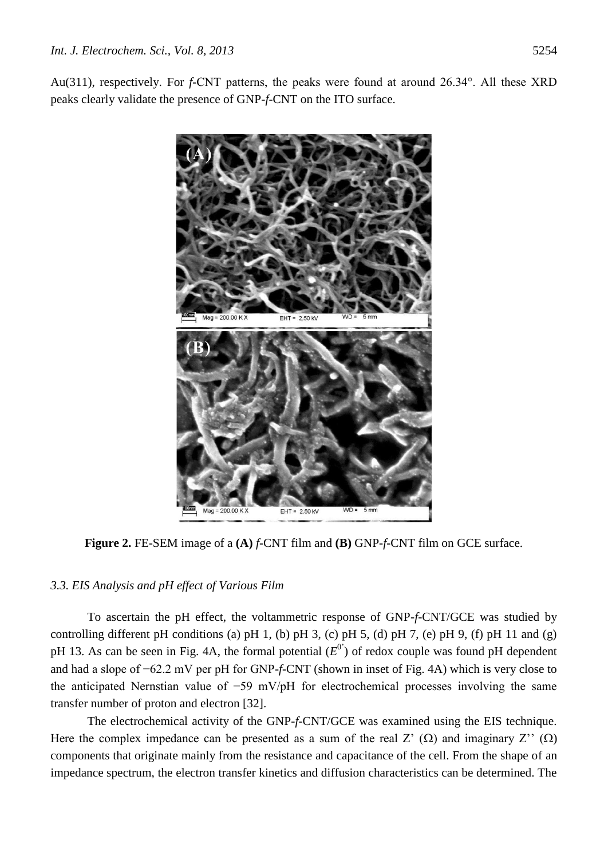Au(311), respectively. For *f*-CNT patterns, the peaks were found at around 26.34°. All these XRD peaks clearly validate the presence of GNP-*f*-CNT on the ITO surface.



**Figure 2.** FE-SEM image of a **(A)** *f*-CNT film and **(B)** GNP-*f*-CNT film on GCE surface.

# *3.3. EIS Analysis and pH effect of Various Film*

To ascertain the pH effect, the voltammetric response of GNP-*f*-CNT/GCE was studied by controlling different pH conditions (a) pH 1, (b) pH 3, (c) pH 5, (d) pH 7, (e) pH 9, (f) pH 11 and (g) pH 13. As can be seen in Fig. 4A, the formal potential  $(E^{0})$  of redox couple was found pH dependent and had a slope of −62.2 mV per pH for GNP-*f*-CNT (shown in inset of Fig. 4A) which is very close to the anticipated Nernstian value of −59 mV/pH for electrochemical processes involving the same transfer number of proton and electron [32].

The electrochemical activity of the GNP-*f*-CNT/GCE was examined using the EIS technique. Here the complex impedance can be presented as a sum of the real Z'  $(\Omega)$  and imaginary Z''  $(\Omega)$ components that originate mainly from the resistance and capacitance of the cell. From the shape of an impedance spectrum, the electron transfer kinetics and diffusion characteristics can be determined. The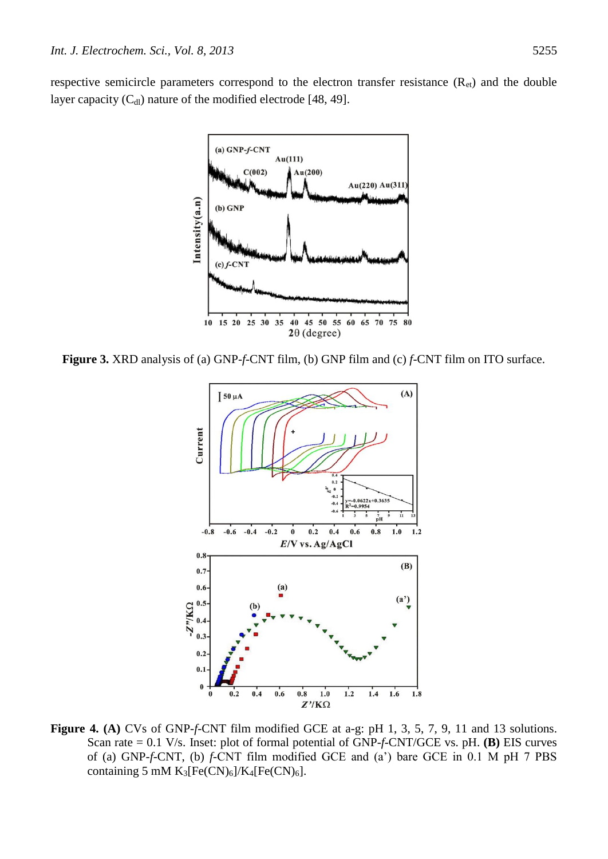respective semicircle parameters correspond to the electron transfer resistance  $(R_{et})$  and the double layer capacity  $(C_{d_l})$  nature of the modified electrode [48, 49].



**Figure 3.** XRD analysis of (a) GNP-*f*-CNT film, (b) GNP film and (c) *f*-CNT film on ITO surface.



**Figure 4. (A)** CVs of GNP-*f*-CNT film modified GCE at a-g: pH 1, 3, 5, 7, 9, 11 and 13 solutions. Scan rate = 0.1 V/s. Inset: plot of formal potential of GNP-*f*-CNT/GCE vs. pH. **(B)** EIS curves of (a) GNP-*f*-CNT, (b) *f*-CNT film modified GCE and (a') bare GCE in 0.1 M pH 7 PBS containing 5 mM  $K_3[Fe(CN)_6]/K_4[Fe(CN)_6]$ .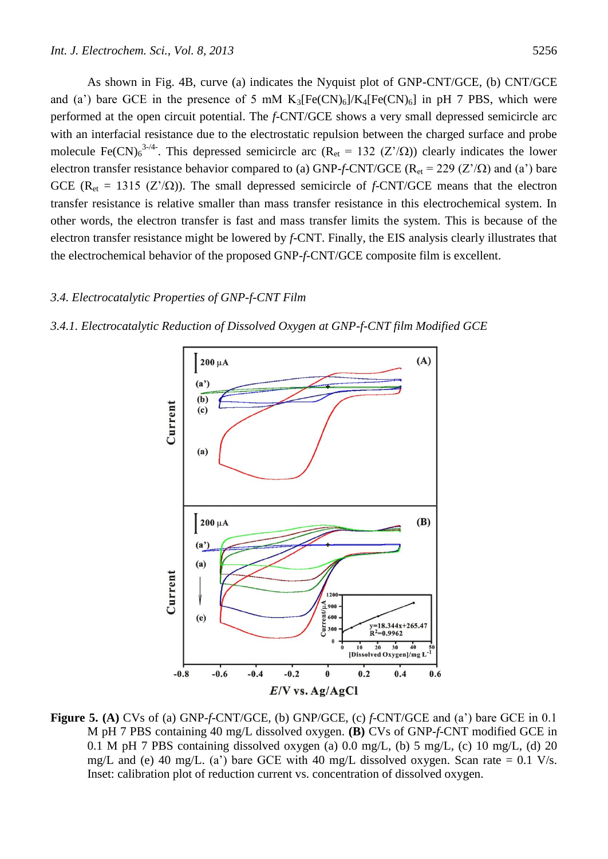As shown in Fig. 4B, curve (a) indicates the Nyquist plot of GNP-CNT/GCE, (b) CNT/GCE and (a') bare GCE in the presence of 5 mM  $K_3[Fe(CN)_6]/K_4[Fe(CN)_6]$  in pH 7 PBS, which were performed at the open circuit potential. The *f*-CNT/GCE shows a very small depressed semicircle arc with an interfacial resistance due to the electrostatic repulsion between the charged surface and probe molecule Fe(CN)<sub>6</sub><sup>3-/4</sup>. This depressed semicircle arc (R<sub>et</sub> = 132 (Z'/ $\Omega$ )) clearly indicates the lower electron transfer resistance behavior compared to (a) GNP-*f*-CNT/GCE ( $R_{et}$  = 229 (Z'/ $\Omega$ ) and (a') bare GCE ( $R_{et} = 1315$  ( $Z'/\Omega$ )). The small depressed semicircle of *f*-CNT/GCE means that the electron transfer resistance is relative smaller than mass transfer resistance in this electrochemical system. In other words, the electron transfer is fast and mass transfer limits the system. This is because of the electron transfer resistance might be lowered by *f*-CNT. Finally, the EIS analysis clearly illustrates that the electrochemical behavior of the proposed GNP-*f*-CNT/GCE composite film is excellent.

# *3.4. Electrocatalytic Properties of GNP-f-CNT Film*





**Figure 5. (A)** CVs of (a) GNP-*f*-CNT/GCE, (b) GNP/GCE, (c) *f*-CNT/GCE and (a') bare GCE in 0.1 M pH 7 PBS containing 40 mg/L dissolved oxygen. **(B)** CVs of GNP-*f*-CNT modified GCE in 0.1 M pH 7 PBS containing dissolved oxygen (a) 0.0 mg/L, (b) 5 mg/L, (c) 10 mg/L, (d) 20 mg/L and (e) 40 mg/L. (a') bare GCE with 40 mg/L dissolved oxygen. Scan rate  $= 0.1$  V/s. Inset: calibration plot of reduction current vs. concentration of dissolved oxygen.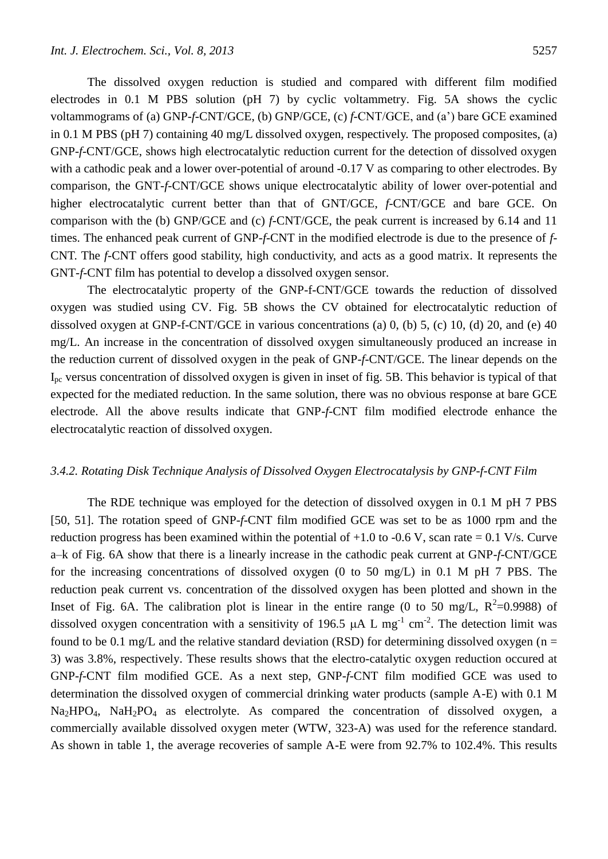The dissolved oxygen reduction is studied and compared with different film modified electrodes in 0.1 M PBS solution (pH 7) by cyclic voltammetry. Fig. 5A shows the cyclic voltammograms of (a) GNP-*f*-CNT/GCE, (b) GNP/GCE, (c) *f*-CNT/GCE, and (a') bare GCE examined in 0.1 M PBS (pH 7) containing 40 mg/L dissolved oxygen, respectively. The proposed composites, (a) GNP-*f*-CNT/GCE, shows high electrocatalytic reduction current for the detection of dissolved oxygen with a cathodic peak and a lower over-potential of around -0.17 V as comparing to other electrodes. By comparison, the GNT-*f*-CNT/GCE shows unique electrocatalytic ability of lower over-potential and higher electrocatalytic current better than that of GNT/GCE, *f*-CNT/GCE and bare GCE. On comparison with the (b) GNP/GCE and (c) *f*-CNT/GCE, the peak current is increased by 6.14 and 11 times. The enhanced peak current of GNP-*f*-CNT in the modified electrode is due to the presence of *f*-CNT. The *f*-CNT offers good stability, high conductivity, and acts as a good matrix. It represents the GNT-*f*-CNT film has potential to develop a dissolved oxygen sensor.

The electrocatalytic property of the GNP-f-CNT/GCE towards the reduction of dissolved oxygen was studied using CV. Fig. 5B shows the CV obtained for electrocatalytic reduction of dissolved oxygen at GNP-f-CNT/GCE in various concentrations (a) 0, (b) 5, (c) 10, (d) 20, and (e) 40 mg/L. An increase in the concentration of dissolved oxygen simultaneously produced an increase in the reduction current of dissolved oxygen in the peak of GNP-*f*-CNT/GCE. The linear depends on the Ipc versus concentration of dissolved oxygen is given in inset of fig. 5B. This behavior is typical of that expected for the mediated reduction. In the same solution, there was no obvious response at bare GCE electrode. All the above results indicate that GNP-*f*-CNT film modified electrode enhance the electrocatalytic reaction of dissolved oxygen.

## *3.4.2. Rotating Disk Technique Analysis of Dissolved Oxygen Electrocatalysis by GNP-f-CNT Film*

The RDE technique was employed for the detection of dissolved oxygen in 0.1 M pH 7 PBS [50, 51]. The rotation speed of GNP-*f*-CNT film modified GCE was set to be as 1000 rpm and the reduction progress has been examined within the potential of  $+1.0$  to  $-0.6$  V, scan rate  $= 0.1$  V/s. Curve a–k of Fig. 6A show that there is a linearly increase in the cathodic peak current at GNP-*f*-CNT/GCE for the increasing concentrations of dissolved oxygen (0 to 50 mg/L) in 0.1 M pH 7 PBS. The reduction peak current vs. concentration of the dissolved oxygen has been plotted and shown in the Inset of Fig. 6A. The calibration plot is linear in the entire range (0 to 50 mg/L,  $R^2$ =0.9988) of dissolved oxygen concentration with a sensitivity of 196.5  $\mu$ A L mg<sup>-1</sup> cm<sup>-2</sup>. The detection limit was found to be 0.1 mg/L and the relative standard deviation (RSD) for determining dissolved oxygen ( $n =$ 3) was 3.8%, respectively. These results shows that the electro-catalytic oxygen reduction occured at GNP-*f*-CNT film modified GCE. As a next step, GNP-*f*-CNT film modified GCE was used to determination the dissolved oxygen of commercial drinking water products (sample A-E) with 0.1 M  $Na<sub>2</sub>HPO<sub>4</sub>$ ,  $NaH<sub>2</sub>PO<sub>4</sub>$  as electrolyte. As compared the concentration of dissolved oxygen, a commercially available dissolved oxygen meter (WTW, 323-A) was used for the reference standard. As shown in table 1, the average recoveries of sample A-E were from 92.7% to 102.4%. This results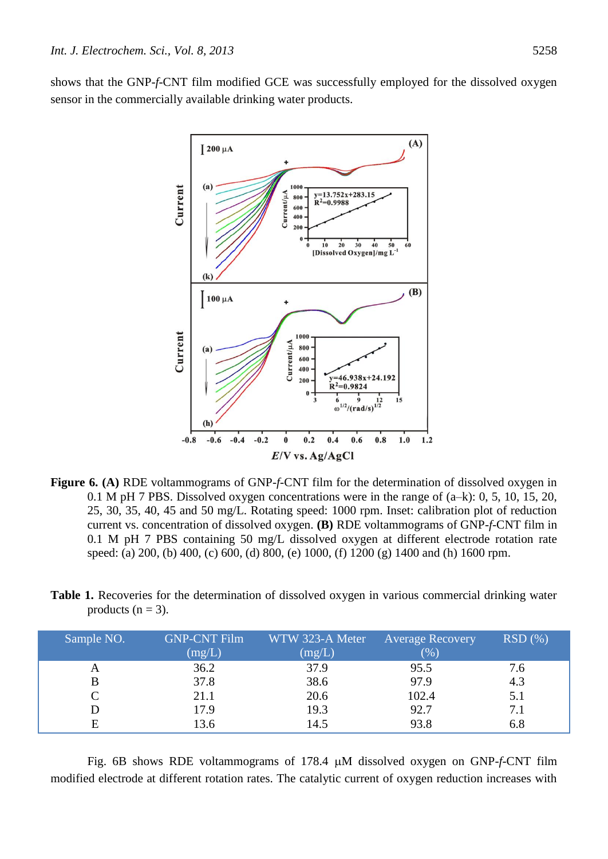shows that the GNP-*f*-CNT film modified GCE was successfully employed for the dissolved oxygen sensor in the commercially available drinking water products.



- **Figure 6. (A)** RDE voltammograms of GNP-*f*-CNT film for the determination of dissolved oxygen in 0.1 M pH 7 PBS. Dissolved oxygen concentrations were in the range of (a–k): 0, 5, 10, 15, 20, 25, 30, 35, 40, 45 and 50 mg/L. Rotating speed: 1000 rpm. Inset: calibration plot of reduction current vs. concentration of dissolved oxygen. **(B)** RDE voltammograms of GNP-*f*-CNT film in 0.1 M pH 7 PBS containing 50 mg/L dissolved oxygen at different electrode rotation rate speed: (a) 200, (b) 400, (c) 600, (d) 800, (e) 1000, (f) 1200 (g) 1400 and (h) 1600 rpm.
- **Table 1.** Recoveries for the determination of dissolved oxygen in various commercial drinking water products  $(n = 3)$ .

| Sample NO. | <b>GNP-CNT Film</b><br>(mg/L) | WTW 323-A Meter<br>(mg/L) | <b>Average Recovery</b><br>$(\% )$ | $RSD(\%)$ |
|------------|-------------------------------|---------------------------|------------------------------------|-----------|
|            | 36.2                          | 37.9                      | 95.5                               | 7.6       |
| B          | 37.8                          | 38.6                      | 97.9                               | 4.3       |
|            | 21.1                          | 20.6                      | 102.4                              | 5.1       |
|            | 17.9                          | 19.3                      | 92.7                               | 7.1       |
|            | 13.6                          | 14.5                      | 93.8                               | 6.8       |

Fig. 6B shows RDE voltammograms of 178.4 M dissolved oxygen on GNP-*f*-CNT film modified electrode at different rotation rates. The catalytic current of oxygen reduction increases with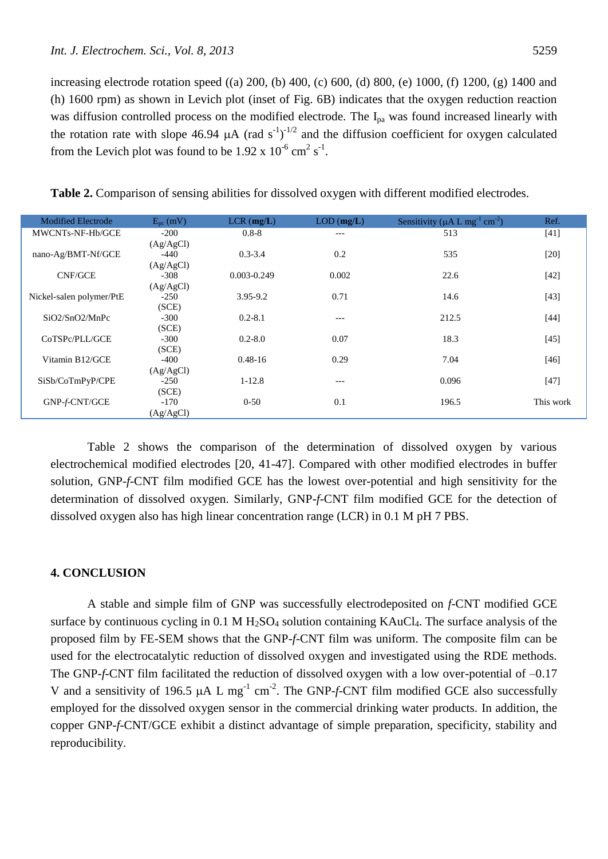increasing electrode rotation speed ((a) 200, (b) 400, (c) 600, (d) 800, (e) 1000, (f) 1200, (g) 1400 and (h) 1600 rpm) as shown in Levich plot (inset of Fig. 6B) indicates that the oxygen reduction reaction was diffusion controlled process on the modified electrode. The I<sub>pa</sub> was found increased linearly with the rotation rate with slope 46.94  $\mu$ A (rad s<sup>-1</sup>)<sup>-1/2</sup> and the diffusion coefficient for oxygen calculated from the Levich plot was found to be  $1.92 \times 10^{-6} \text{ cm}^2 \text{ s}^{-1}$ .

Modified Electrode  $E_{pc}$  (mV) LCR (**mg/L**) LOD (**mg/L**) Sensitivity (µA L mg<sup>-1</sup> cm<sup>-2</sup> ) Ref. MWCNTs-NF-Hb/GCE nano-Ag/BMT-Nf/GCE CNF/GCE Nickel-salen polymer/PtE SiO2/SnO2/MnPc CoTSPc/PLL/GCE Vitamin B12/GCE SiSb/CoTmPyP/CPE GNP-*f*-CNT/GCE -200 (Ag/AgCl)  $-440$ (Ag/AgCl) -308 (Ag/AgCl) -250 (SCE) -300 (SCE) -300 (SCE) -400 (Ag/AgCl) -250 (SCE) -170 (Ag/AgCl) 0.8-8 0.3-3.4 0.003-0.249 3.95-9.2 0.2-8.1 0.2-8.0 0.48-16 1-12.8 0-50 --- 0.2 0.002 0.71 --- 0.07 0.29 --- 0.1 513 535 22.6 14.6 212.5 18.3 7.04 0.096 196.5 [41] [20] [42] [43] [44] [45] [46] [47] This work

**Table 2.** Comparison of sensing abilities for dissolved oxygen with different modified electrodes.

Table 2 shows the comparison of the determination of dissolved oxygen by various electrochemical modified electrodes [20, 41-47]. Compared with other modified electrodes in buffer solution, GNP-*f*-CNT film modified GCE has the lowest over-potential and high sensitivity for the determination of dissolved oxygen. Similarly, GNP-*f*-CNT film modified GCE for the detection of dissolved oxygen also has high linear concentration range (LCR) in 0.1 M pH 7 PBS.

## **4. CONCLUSION**

A stable and simple film of GNP was successfully electrodeposited on *f*-CNT modified GCE surface by continuous cycling in  $0.1 M H<sub>2</sub>SO<sub>4</sub>$  solution containing KAuCl<sub>4</sub>. The surface analysis of the proposed film by FE-SEM shows that the GNP-*f*-CNT film was uniform. The composite film can be used for the electrocatalytic reduction of dissolved oxygen and investigated using the RDE methods. The GNP-*f*-CNT film facilitated the reduction of dissolved oxygen with a low over-potential of -0.17 V and a sensitivity of 196.5  $\mu$ A L mg<sup>-1</sup> cm<sup>-2</sup>. The GNP-*f*-CNT film modified GCE also successfully employed for the dissolved oxygen sensor in the commercial drinking water products. In addition, the copper GNP-*f*-CNT/GCE exhibit a distinct advantage of simple preparation, specificity, stability and reproducibility.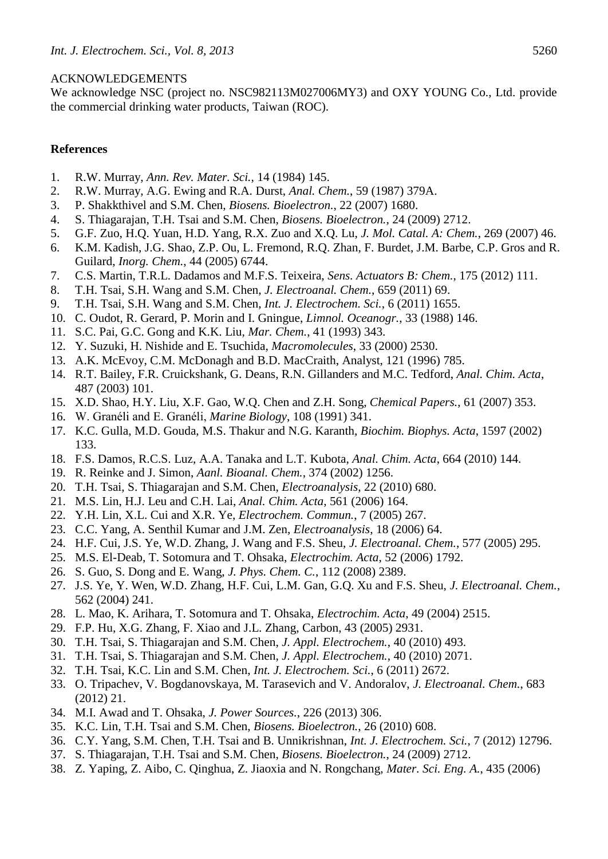# ACKNOWLEDGEMENTS

We acknowledge NSC (project no. NSC982113M027006MY3) and OXY YOUNG Co., Ltd. provide the commercial drinking water products, Taiwan (ROC).

# **References**

- 1. R.W. Murray, *Ann. Rev. Mater. Sci.*, 14 (1984) 145.
- 2. R.W. Murray, A.G. Ewing and R.A. Durst, *Anal. Chem.*, 59 (1987) 379A.
- 3. P. Shakkthivel and S.M. Chen, *Biosens. Bioelectron.*, 22 (2007) 1680.
- 4. S. Thiagarajan, T.H. Tsai and S.M. Chen, *Biosens. Bioelectron.*, 24 (2009) 2712.
- 5. G.F. Zuo, H.Q. Yuan, H.D. Yang, R.X. Zuo and X.Q. Lu, *J. Mol. Catal. A: Chem.*, 269 (2007) 46.
- 6. K.M. Kadish, J.G. Shao, Z.P. Ou, L. Fremond, R.Q. Zhan, F. Burdet, J.M. Barbe, C.P. Gros and R. Guilard, *Inorg. Chem.*, 44 (2005) 6744.
- 7. C.S. Martin, T.R.L. Dadamos and M.F.S. Teixeira, *Sens. Actuators B: Chem.*, 175 (2012) 111.
- 8. T.H. Tsai, S.H. Wang and S.M. Chen, *J. Electroanal. Chem.*, 659 (2011) 69.
- 9. T.H. Tsai, S.H. Wang and S.M. Chen, *Int. J. Electrochem. Sci.*, 6 (2011) 1655.
- 10. C. Oudot, R. Gerard, P. Morin and I. Gningue, *Limnol. Oceanogr.*, 33 (1988) 146.
- 11. S.C. Pai, G.C. Gong and K.K. Liu, *Mar. Chem.*, 41 (1993) 343.
- 12. Y. Suzuki, H. Nishide and E. Tsuchida, *Macromolecules*, 33 (2000) 2530.
- 13. A.K. McEvoy, C.M. McDonagh and B.D. MacCraith, Analyst, 121 (1996) 785.
- 14. R.T. Bailey, F.R. Cruickshank, G. Deans, R.N. Gillanders and M.C. Tedford, *Anal. Chim. Acta*, 487 (2003) 101.
- 15. X.D. Shao, H.Y. Liu, X.F. Gao, W.Q. Chen and Z.H. Song, *Chemical Papers.*, 61 (2007) 353.
- 16. W. Granéli and E. Granéli, *Marine Biology*, 108 (1991) 341.
- 17. K.C. Gulla, M.D. Gouda, M.S. Thakur and N.G. Karanth, *Biochim. Biophys. Acta*, 1597 (2002) 133.
- 18. F.S. Damos, R.C.S. Luz, A.A. Tanaka and L.T. Kubota, *Anal. Chim. Acta*, 664 (2010) 144.
- 19. R. Reinke and J. Simon, *Aanl. Bioanal. Chem.*, 374 (2002) 1256.
- 20. T.H. Tsai, S. Thiagarajan and S.M. Chen, *Electroanalysis*, 22 (2010) 680.
- 21. M.S. Lin, H.J. Leu and C.H. Lai, *Anal. Chim. Acta*, 561 (2006) 164.
- 22. Y.H. Lin, X.L. Cui and X.R. Ye, *Electrochem. Commun.*, 7 (2005) 267.
- 23. C.C. Yang, A. Senthil Kumar and J.M. Zen, *Electroanalysis*, 18 (2006) 64.
- 24. H.F. Cui, J.S. Ye, W.D. Zhang, J. Wang and F.S. Sheu, *J. Electroanal. Chem.*, 577 (2005) 295.
- 25. M.S. El-Deab, T. Sotomura and T. Ohsaka, *Electrochim. Acta*, 52 (2006) 1792.
- 26. S. Guo, S. Dong and E. Wang, *J. Phys. Chem. C.*, 112 (2008) 2389.
- 27. J.S. Ye, Y. Wen, W.D. Zhang, H.F. Cui, L.M. Gan, G.Q. Xu and F.S. Sheu, *J. Electroanal. Chem.*, 562 (2004) 241.
- 28. L. Mao, K. Arihara, T. Sotomura and T. Ohsaka, *Electrochim. Acta*, 49 (2004) 2515.
- 29. F.P. Hu, X.G. Zhang, F. Xiao and J.L. Zhang, Carbon, 43 (2005) 2931.
- 30. T.H. Tsai, S. Thiagarajan and S.M. Chen, *J. Appl. Electrochem.*, 40 (2010) 493.
- 31. T.H. Tsai, S. Thiagarajan and S.M. Chen, *J. Appl. Electrochem.*, 40 (2010) 2071.
- 32. T.H. Tsai, K.C. Lin and S.M. Chen, *Int. J. Electrochem. Sci.*, 6 (2011) 2672.
- 33. O. Tripachev, V. Bogdanovskaya, M. Tarasevich and V. Andoralov, *J. Electroanal. Chem.*, 683 (2012) 21.
- 34. M.I. Awad and T. Ohsaka, *J. Power Sources.*, 226 (2013) 306.
- 35. K.C. Lin, T.H. Tsai and S.M. Chen, *Biosens. Bioelectron.*, 26 (2010) 608.
- 36. C.Y. Yang, S.M. Chen, T.H. Tsai and B. Unnikrishnan, *Int. J. Electrochem. Sci.*, 7 (2012) 12796.
- 37. S. Thiagarajan, T.H. Tsai and S.M. Chen, *Biosens. Bioelectron.*, 24 (2009) 2712.
- 38. Z. Yaping, Z. Aibo, C. Qinghua, Z. Jiaoxia and N. Rongchang, *Mater. Sci. Eng. A.*, 435 (2006)